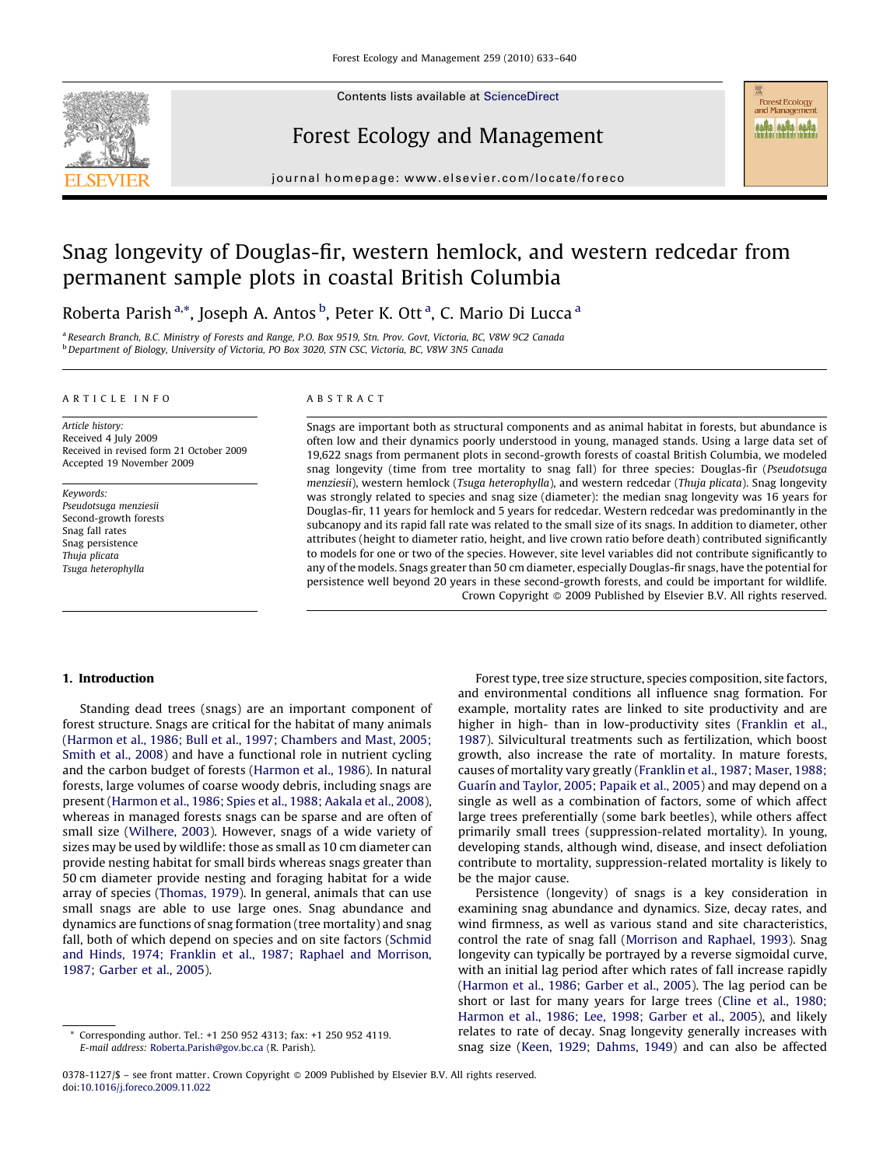

Contents lists available at [ScienceDirect](http://www.sciencedirect.com/science/journal/03781127)

# Forest Ecology and Management

Forest Ecology and Management **MA MA MA** 

journal homepage: www.elsevier.com/locate/foreco

# Snag longevity of Douglas-fir, western hemlock, and western redcedar from permanent sample plots in coastal British Columbia

# Roberta Parish<sup>a,</sup>\*, Joseph A. Antos <sup>b</sup>, Peter K. Ott <sup>a</sup>, C. Mario Di Lucca <sup>a</sup>

<sup>a</sup> Research Branch, B.C. Ministry of Forests and Range, P.O. Box 9519, Stn. Prov. Govt, Victoria, BC, V8W 9C2 Canada <sup>b</sup> Department of Biology, University of Victoria, PO Box 3020, STN CSC, Victoria, BC, V8W 3N5 Canada

#### ARTICLE INFO

Article history: Received 4 July 2009 Received in revised form 21 October 2009 Accepted 19 November 2009

Keywords: Pseudotsuga menziesii Second-growth forests Snag fall rates Snag persistence Thuja plicata Tsuga heterophylla

#### ABSTRACT

Snags are important both as structural components and as animal habitat in forests, but abundance is often low and their dynamics poorly understood in young, managed stands. Using a large data set of 19,622 snags from permanent plots in second-growth forests of coastal British Columbia, we modeled snag longevity (time from tree mortality to snag fall) for three species: Douglas-fir (Pseudotsuga menziesii), western hemlock (Tsuga heterophylla), and western redcedar (Thuja plicata). Snag longevity was strongly related to species and snag size (diameter): the median snag longevity was 16 years for Douglas-fir, 11 years for hemlock and 5 years for redcedar. Western redcedar was predominantly in the subcanopy and its rapid fall rate was related to the small size of its snags. In addition to diameter, other attributes (height to diameter ratio, height, and live crown ratio before death) contributed significantly to models for one or two of the species. However, site level variables did not contribute significantly to any of the models. Snags greater than 50 cm diameter, especially Douglas-fir snags, have the potential for persistence well beyond 20 years in these second-growth forests, and could be important for wildlife. Crown Copyright © 2009 Published by Elsevier B.V. All rights reserved.

#### 1. Introduction

Standing dead trees (snags) are an important component of forest structure. Snags are critical for the habitat of many animals ([Harmon et al., 1986; Bull et al., 1997; Chambers and Mast, 2005;](#page-7-0) [Smith et al., 2008](#page-7-0)) and have a functional role in nutrient cycling and the carbon budget of forests ([Harmon et al., 1986\)](#page-7-0). In natural forests, large volumes of coarse woody debris, including snags are present [\(Harmon et al., 1986; Spies et al., 1988; Aakala et al., 2008\)](#page-7-0), whereas in managed forests snags can be sparse and are often of small size ([Wilhere, 2003\)](#page-7-0). However, snags of a wide variety of sizes may be used by wildlife: those as small as 10 cm diameter can provide nesting habitat for small birds whereas snags greater than 50 cm diameter provide nesting and foraging habitat for a wide array of species ([Thomas, 1979\)](#page-7-0). In general, animals that can use small snags are able to use large ones. Snag abundance and dynamics are functions of snag formation (tree mortality) and snag fall, both of which depend on species and on site factors [\(Schmid](#page-7-0) [and Hinds, 1974; Franklin et al., 1987; Raphael and Morrison,](#page-7-0) [1987; Garber et al., 2005](#page-7-0)).

Forest type, tree size structure, species composition, site factors, and environmental conditions all influence snag formation. For example, mortality rates are linked to site productivity and are higher in high- than in low-productivity sites [\(Franklin et al.,](#page-7-0) [1987\)](#page-7-0). Silvicultural treatments such as fertilization, which boost growth, also increase the rate of mortality. In mature forests, causes of mortality vary greatly ([Franklin et al., 1987; Maser, 1988;](#page-7-0) Guarín and Taylor, 2005; Papaik et al., 2005) and may depend on a single as well as a combination of factors, some of which affect large trees preferentially (some bark beetles), while others affect primarily small trees (suppression-related mortality). In young, developing stands, although wind, disease, and insect defoliation contribute to mortality, suppression-related mortality is likely to be the major cause.

Persistence (longevity) of snags is a key consideration in examining snag abundance and dynamics. Size, decay rates, and wind firmness, as well as various stand and site characteristics, control the rate of snag fall ([Morrison and Raphael, 1993](#page-7-0)). Snag longevity can typically be portrayed by a reverse sigmoidal curve, with an initial lag period after which rates of fall increase rapidly ([Harmon et al., 1986; Garber et al., 2005](#page-7-0)). The lag period can be short or last for many years for large trees ([Cline et al., 1980;](#page-7-0) [Harmon et al., 1986; Lee, 1998; Garber et al., 2005](#page-7-0)), and likely relates to rate of decay. Snag longevity generally increases with snag size ([Keen, 1929; Dahms, 1949\)](#page-7-0) and can also be affected

Corresponding author. Tel.: +1 250 952 4313; fax: +1 250 952 4119. E-mail address: [Roberta.Parish@gov.bc.ca](mailto:Roberta.Parish@gov.bc.ca) (R. Parish).

<sup>0378-1127/\$ –</sup> see front matter. Crown Copyright © 2009 Published by Elsevier B.V. All rights reserved. doi:[10.1016/j.foreco.2009.11.022](http://dx.doi.org/10.1016/j.foreco.2009.11.022)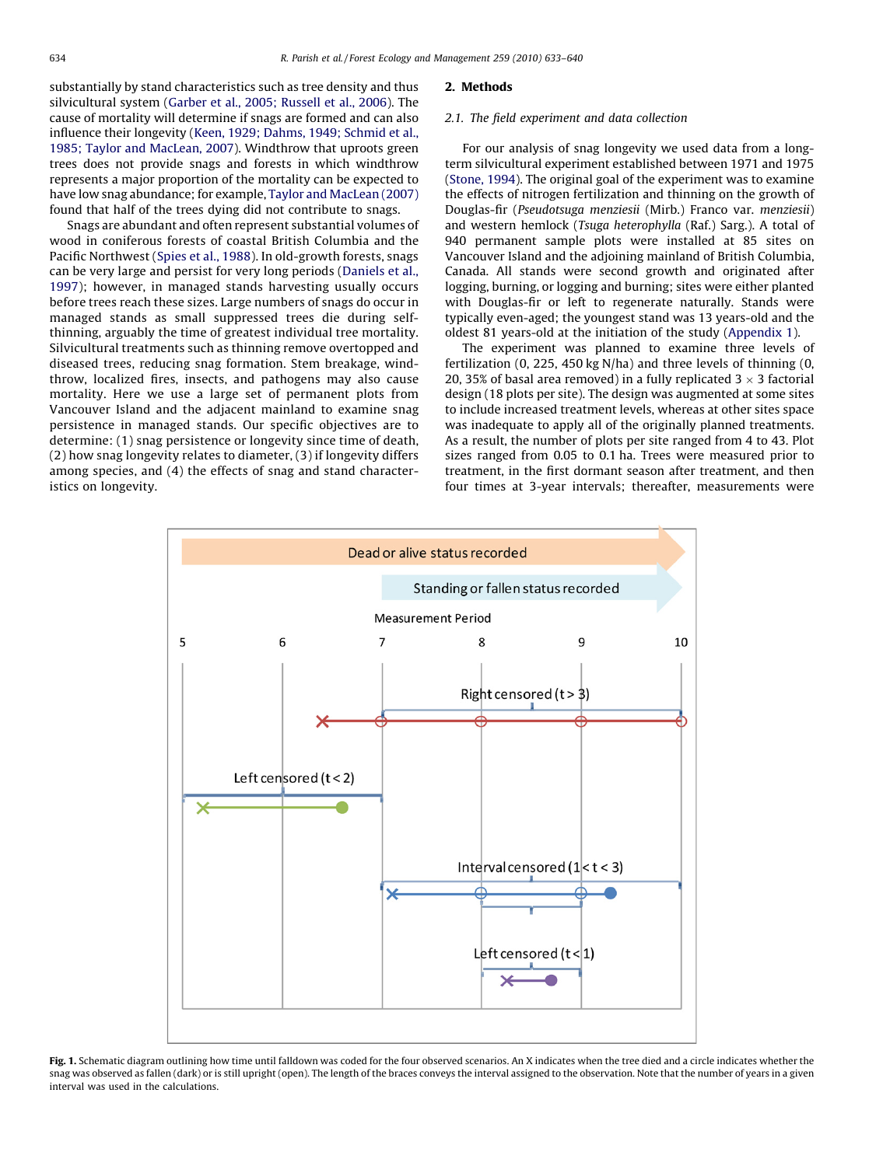<span id="page-1-0"></span>substantially by stand characteristics such as tree density and thus silvicultural system ([Garber et al., 2005; Russell et al., 2006](#page-7-0)). The cause of mortality will determine if snags are formed and can also influence their longevity [\(Keen, 1929; Dahms, 1949; Schmid et al.,](#page-7-0) [1985; Taylor and MacLean, 2007](#page-7-0)). Windthrow that uproots green trees does not provide snags and forests in which windthrow represents a major proportion of the mortality can be expected to have low snag abundance; for example, [Taylor and MacLean \(2007\)](#page-7-0) found that half of the trees dying did not contribute to snags.

Snags are abundant and often represent substantial volumes of wood in coniferous forests of coastal British Columbia and the Pacific Northwest ([Spies et al., 1988\)](#page-7-0). In old-growth forests, snags can be very large and persist for very long periods ([Daniels et al.,](#page-7-0) [1997](#page-7-0)); however, in managed stands harvesting usually occurs before trees reach these sizes. Large numbers of snags do occur in managed stands as small suppressed trees die during selfthinning, arguably the time of greatest individual tree mortality. Silvicultural treatments such as thinning remove overtopped and diseased trees, reducing snag formation. Stem breakage, windthrow, localized fires, insects, and pathogens may also cause mortality. Here we use a large set of permanent plots from Vancouver Island and the adjacent mainland to examine snag persistence in managed stands. Our specific objectives are to determine: (1) snag persistence or longevity since time of death, (2) how snag longevity relates to diameter, (3) if longevity differs among species, and (4) the effects of snag and stand characteristics on longevity.

### 2. Methods

#### 2.1. The field experiment and data collection

For our analysis of snag longevity we used data from a longterm silvicultural experiment established between 1971 and 1975 ([Stone, 1994\)](#page-7-0). The original goal of the experiment was to examine the effects of nitrogen fertilization and thinning on the growth of Douglas-fir (Pseudotsuga menziesii (Mirb.) Franco var. menziesii) and western hemlock (Tsuga heterophylla (Raf.) Sarg.). A total of 940 permanent sample plots were installed at 85 sites on Vancouver Island and the adjoining mainland of British Columbia, Canada. All stands were second growth and originated after logging, burning, or logging and burning; sites were either planted with Douglas-fir or left to regenerate naturally. Stands were typically even-aged; the youngest stand was 13 years-old and the oldest 81 years-old at the initiation of the study [\(Appendix 1](#page-5-0)).

The experiment was planned to examine three levels of fertilization (0, 225, 450 kg N/ha) and three levels of thinning (0, 20, 35% of basal area removed) in a fully replicated 3  $\times$  3 factorial design (18 plots per site). The design was augmented at some sites to include increased treatment levels, whereas at other sites space was inadequate to apply all of the originally planned treatments. As a result, the number of plots per site ranged from 4 to 43. Plot sizes ranged from 0.05 to 0.1 ha. Trees were measured prior to treatment, in the first dormant season after treatment, and then four times at 3-year intervals; thereafter, measurements were



Fig. 1. Schematic diagram outlining how time until falldown was coded for the four observed scenarios. An X indicates when the tree died and a circle indicates whether the snag was observed as fallen (dark) or is still upright (open). The length of the braces conveys the interval assigned to the observation. Note that the number of years in a given interval was used in the calculations.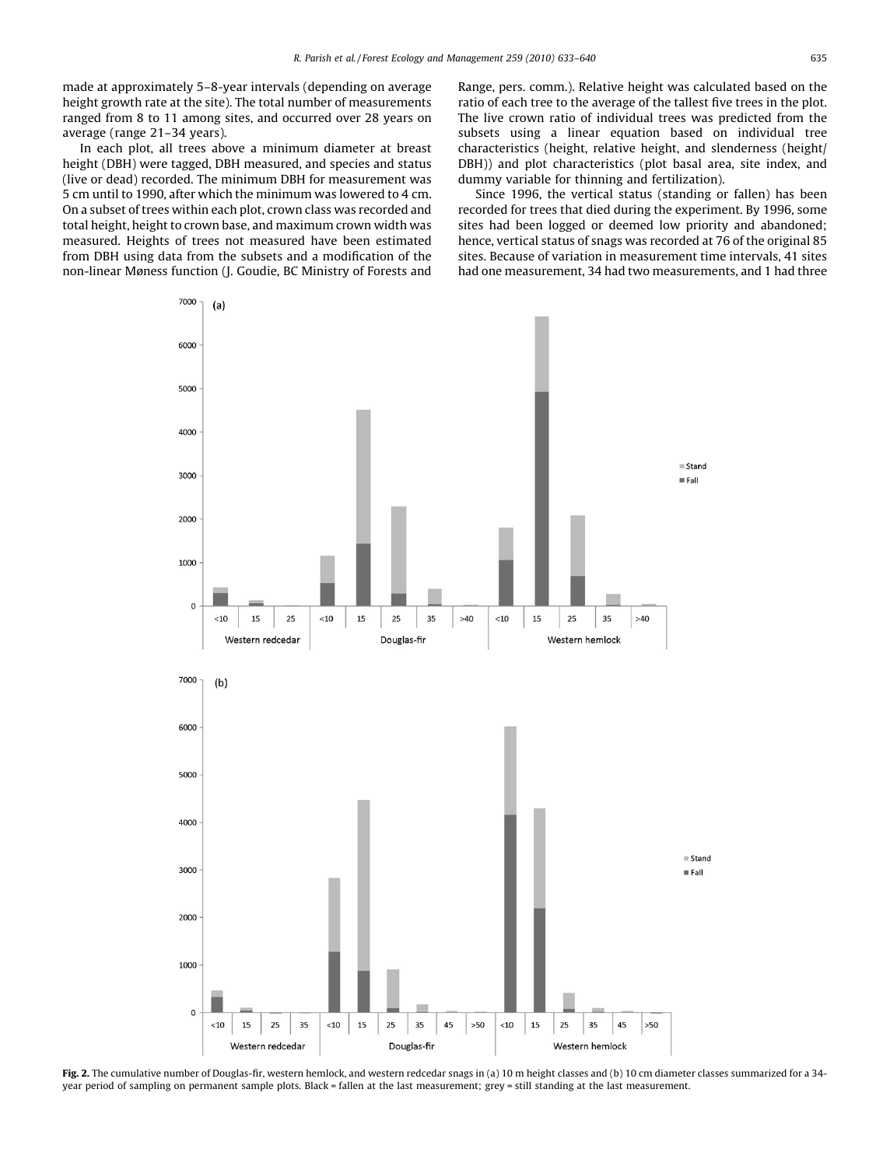<span id="page-2-0"></span>made at approximately 5–8-year intervals (depending on average height growth rate at the site). The total number of measurements ranged from 8 to 11 among sites, and occurred over 28 years on average (range 21–34 years).

In each plot, all trees above a minimum diameter at breast height (DBH) were tagged, DBH measured, and species and status (live or dead) recorded. The minimum DBH for measurement was 5 cm until to 1990, after which the minimum was lowered to 4 cm. On a subset of trees within each plot, crown class was recorded and total height, height to crown base, and maximum crown width was measured. Heights of trees not measured have been estimated from DBH using data from the subsets and a modification of the non-linear Møness function (J. Goudie, BC Ministry of Forests and Range, pers. comm.). Relative height was calculated based on the ratio of each tree to the average of the tallest five trees in the plot. The live crown ratio of individual trees was predicted from the subsets using a linear equation based on individual tree characteristics (height, relative height, and slenderness (height/ DBH)) and plot characteristics (plot basal area, site index, and dummy variable for thinning and fertilization).

Since 1996, the vertical status (standing or fallen) has been recorded for trees that died during the experiment. By 1996, some sites had been logged or deemed low priority and abandoned; hence, vertical status of snags was recorded at 76 of the original 85 sites. Because of variation in measurement time intervals, 41 sites had one measurement, 34 had two measurements, and 1 had three



Fig. 2. The cumulative number of Douglas-fir, western hemlock, and western redcedar snags in (a) 10 m height classes and (b) 10 cm diameter classes summarized for a 34year period of sampling on permanent sample plots. Black = fallen at the last measurement; grey = still standing at the last measurement.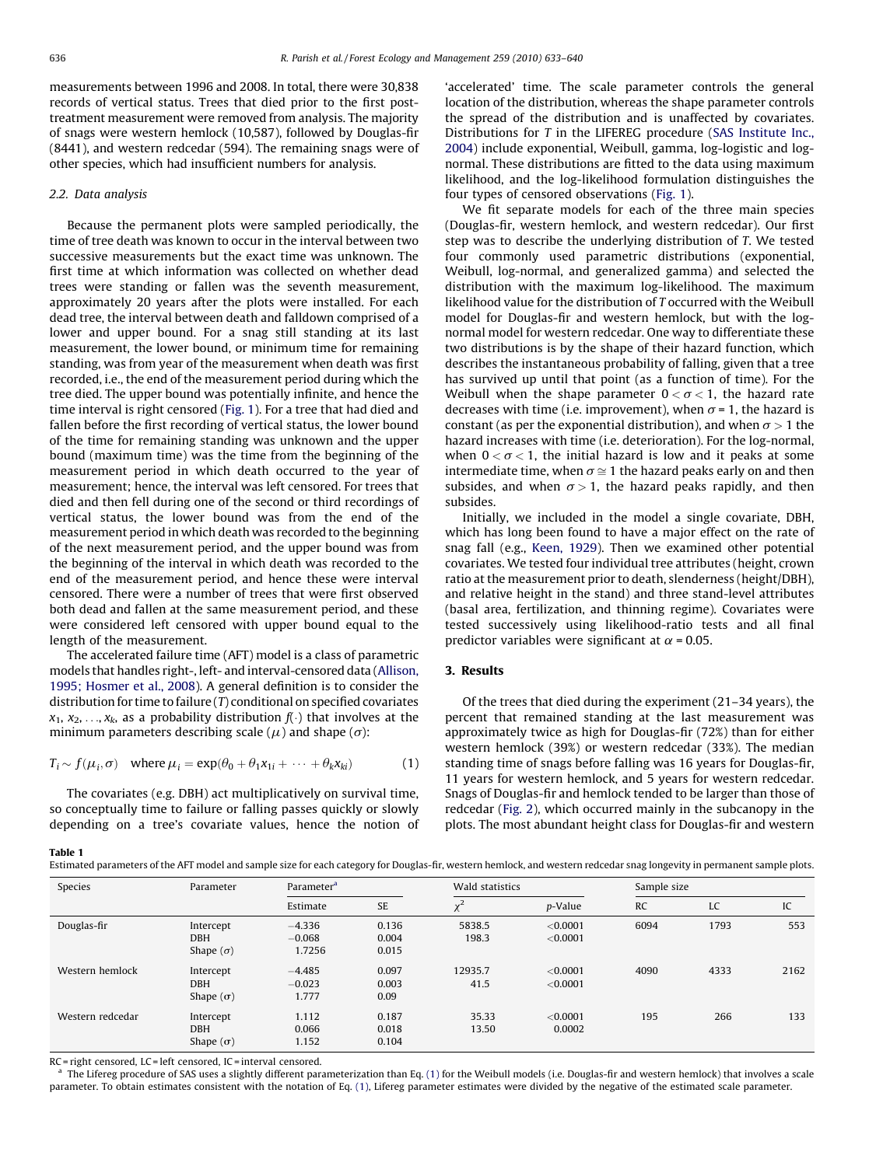<span id="page-3-0"></span>measurements between 1996 and 2008. In total, there were 30,838 records of vertical status. Trees that died prior to the first posttreatment measurement were removed from analysis. The majority of snags were western hemlock (10,587), followed by Douglas-fir (8441), and western redcedar (594). The remaining snags were of other species, which had insufficient numbers for analysis.

#### 2.2. Data analysis

Because the permanent plots were sampled periodically, the time of tree death was known to occur in the interval between two successive measurements but the exact time was unknown. The first time at which information was collected on whether dead trees were standing or fallen was the seventh measurement, approximately 20 years after the plots were installed. For each dead tree, the interval between death and falldown comprised of a lower and upper bound. For a snag still standing at its last measurement, the lower bound, or minimum time for remaining standing, was from year of the measurement when death was first recorded, i.e., the end of the measurement period during which the tree died. The upper bound was potentially infinite, and hence the time interval is right censored [\(Fig. 1](#page-1-0)). For a tree that had died and fallen before the first recording of vertical status, the lower bound of the time for remaining standing was unknown and the upper bound (maximum time) was the time from the beginning of the measurement period in which death occurred to the year of measurement; hence, the interval was left censored. For trees that died and then fell during one of the second or third recordings of vertical status, the lower bound was from the end of the measurement period in which death was recorded to the beginning of the next measurement period, and the upper bound was from the beginning of the interval in which death was recorded to the end of the measurement period, and hence these were interval censored. There were a number of trees that were first observed both dead and fallen at the same measurement period, and these were considered left censored with upper bound equal to the length of the measurement.

The accelerated failure time (AFT) model is a class of parametric models that handles right-, left- and interval-censored data [\(Allison,](#page-7-0) [1995; Hosmer et al., 2008\)](#page-7-0). A general definition is to consider the distribution for time to failure  $(T)$  conditional on specified covariates  $x_1, x_2, \ldots, x_k$ , as a probability distribution  $f(\cdot)$  that involves at the minimum parameters describing scale  $(\mu)$  and shape  $(\sigma)$ :

$$
T_i \sim f(\mu_i, \sigma) \quad \text{where } \mu_i = \exp(\theta_0 + \theta_1 x_{1i} + \dots + \theta_k x_{ki}) \tag{1}
$$

The covariates (e.g. DBH) act multiplicatively on survival time, so conceptually time to failure or falling passes quickly or slowly depending on a tree's covariate values, hence the notion of 'accelerated' time. The scale parameter controls the general location of the distribution, whereas the shape parameter controls the spread of the distribution and is unaffected by covariates. Distributions for T in the LIFEREG procedure ([SAS Institute Inc.,](#page-7-0) [2004\)](#page-7-0) include exponential, Weibull, gamma, log-logistic and lognormal. These distributions are fitted to the data using maximum likelihood, and the log-likelihood formulation distinguishes the four types of censored observations [\(Fig. 1](#page-1-0)).

We fit separate models for each of the three main species (Douglas-fir, western hemlock, and western redcedar). Our first step was to describe the underlying distribution of T. We tested four commonly used parametric distributions (exponential, Weibull, log-normal, and generalized gamma) and selected the distribution with the maximum log-likelihood. The maximum likelihood value for the distribution of T occurred with the Weibull model for Douglas-fir and western hemlock, but with the lognormal model for western redcedar. One way to differentiate these two distributions is by the shape of their hazard function, which describes the instantaneous probability of falling, given that a tree has survived up until that point (as a function of time). For the Weibull when the shape parameter  $0 < \sigma < 1$ , the hazard rate decreases with time (i.e. improvement), when  $\sigma$  = 1, the hazard is constant (as per the exponential distribution), and when  $\sigma > 1$  the hazard increases with time (i.e. deterioration). For the log-normal, when  $0 < \sigma < 1$ , the initial hazard is low and it peaks at some intermediate time, when  $\sigma \cong 1$  the hazard peaks early on and then subsides, and when  $\sigma > 1$ , the hazard peaks rapidly, and then subsides.

Initially, we included in the model a single covariate, DBH, which has long been found to have a major effect on the rate of snag fall (e.g., [Keen, 1929](#page-7-0)). Then we examined other potential covariates. We tested four individual tree attributes (height, crown ratio at the measurement prior to death, slenderness (height/DBH), and relative height in the stand) and three stand-level attributes (basal area, fertilization, and thinning regime). Covariates were tested successively using likelihood-ratio tests and all final predictor variables were significant at  $\alpha$  = 0.05.

### 3. Results

Of the trees that died during the experiment (21–34 years), the percent that remained standing at the last measurement was approximately twice as high for Douglas-fir (72%) than for either western hemlock (39%) or western redcedar (33%). The median standing time of snags before falling was 16 years for Douglas-fir, 11 years for western hemlock, and 5 years for western redcedar. Snags of Douglas-fir and hemlock tended to be larger than those of redcedar ([Fig. 2\)](#page-2-0), which occurred mainly in the subcanopy in the plots. The most abundant height class for Douglas-fir and western

Table 1

Estimated parameters of the AFT model and sample size for each category for Douglas-fir, western hemlock, and western redcedar snag longevity in permanent sample plots.

| Species          | Parameter                                   | Parameter <sup>a</sup>         |                         | Wald statistics |                      |           | Sample size |      |  |
|------------------|---------------------------------------------|--------------------------------|-------------------------|-----------------|----------------------|-----------|-------------|------|--|
|                  |                                             | Estimate                       | <b>SE</b>               | $\chi^2$        | p-Value              | <b>RC</b> | LC          | IC   |  |
| Douglas-fir      | Intercept<br><b>DBH</b><br>Shape $(\sigma)$ | $-4.336$<br>$-0.068$<br>1.7256 | 0.136<br>0.004<br>0.015 | 5838.5<br>198.3 | < 0.0001<br>< 0.0001 | 6094      | 1793        | 553  |  |
| Western hemlock  | Intercept<br><b>DBH</b><br>Shape $(\sigma)$ | $-4.485$<br>$-0.023$<br>1.777  | 0.097<br>0.003<br>0.09  | 12935.7<br>41.5 | < 0.0001<br>< 0.0001 | 4090      | 4333        | 2162 |  |
| Western redcedar | Intercept<br><b>DBH</b><br>Shape $(\sigma)$ | 1.112<br>0.066<br>1.152        | 0.187<br>0.018<br>0.104 | 35.33<br>13.50  | < 0.0001<br>0.0002   | 195       | 266         | 133  |  |

RC = right censored, LC = left censored, IC = interval censored.

<sup>a</sup> The Lifereg procedure of SAS uses a slightly different parameterization than Eq. (1) for the Weibull models (i.e. Douglas-fir and western hemlock) that involves a scale parameter. To obtain estimates consistent with the notation of Eq. (1), Lifereg parameter estimates were divided by the negative of the estimated scale parameter.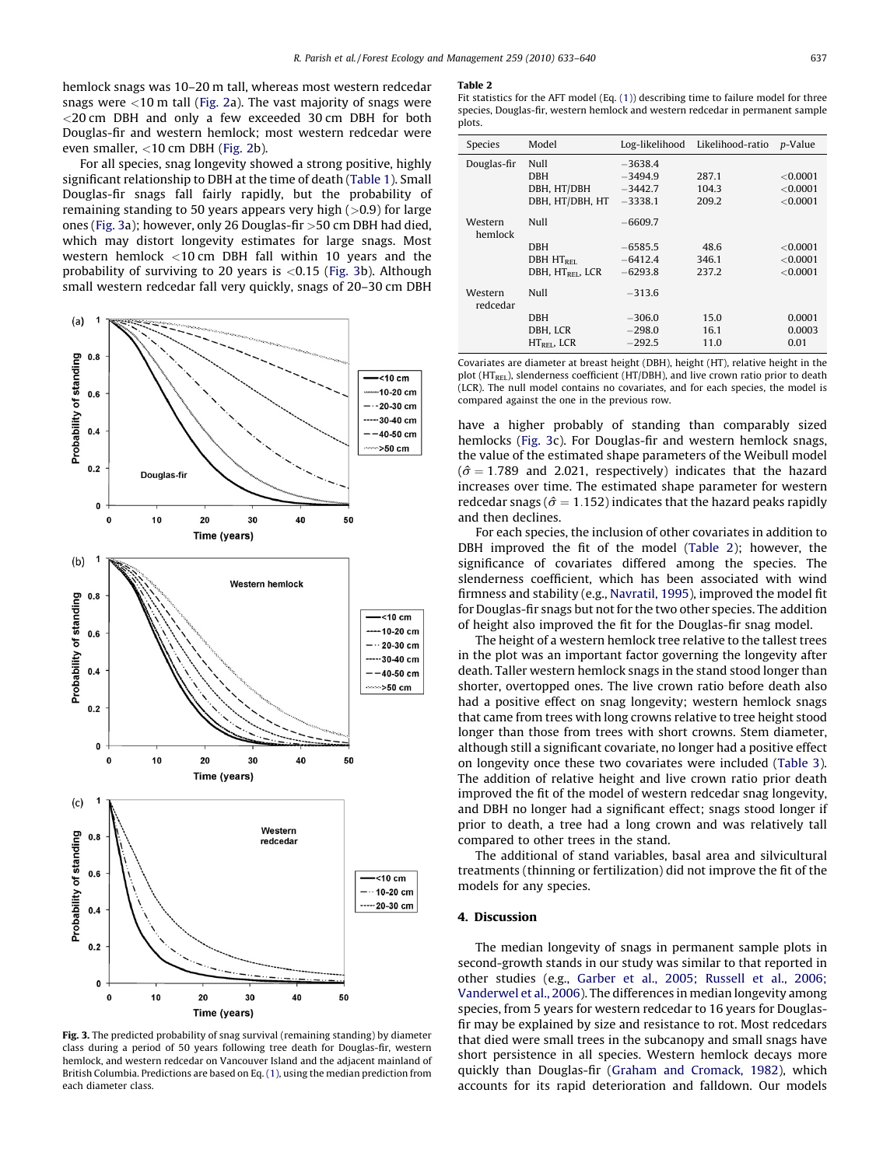hemlock snags was 10–20 m tall, whereas most western redcedar snags were  $<$ 10 m tall ([Fig. 2a](#page-2-0)). The vast majority of snags were <20 cm DBH and only a few exceeded 30 cm DBH for both Douglas-fir and western hemlock; most western redcedar were even smaller, <10 cm DBH ([Fig. 2b](#page-2-0)).

For all species, snag longevity showed a strong positive, highly significant relationship to DBH at the time of death [\(Table 1\)](#page-3-0). Small Douglas-fir snags fall fairly rapidly, but the probability of remaining standing to 50 years appears very high  $(>0.9)$  for large ones (Fig. 3a); however, only 26 Douglas-fir >50 cm DBH had died, which may distort longevity estimates for large snags. Most western hemlock <10 cm DBH fall within 10 years and the probability of surviving to 20 years is <0.15 (Fig. 3b). Although small western redcedar fall very quickly, snags of 20–30 cm DBH



Fig. 3. The predicted probability of snag survival (remaining standing) by diameter class during a period of 50 years following tree death for Douglas-fir, western hemlock, and western redcedar on Vancouver Island and the adjacent mainland of British Columbia. Predictions are based on Eq. [\(1\),](#page-3-0) using the median prediction from each diameter class.

#### Table 2

Fit statistics for the AFT model (Eq. [\(1\)](#page-3-0)) describing time to failure model for three species, Douglas-fir, western hemlock and western redcedar in permanent sample plots.

| Species             | Model                 |           | Log-likelihood Likelihood-ratio | <i>p</i> -Value |
|---------------------|-----------------------|-----------|---------------------------------|-----------------|
| Douglas-fir         | Null                  | $-3638.4$ |                                 |                 |
|                     | <b>DBH</b>            | $-3494.9$ | 287.1                           | < 0.0001        |
|                     | DBH, HT/DBH           | $-3442.7$ | 104.3                           | < 0.0001        |
|                     | DBH, HT/DBH, HT       | $-3338.1$ | 209.2                           | < 0.0001        |
| Western<br>hemlock  | Null                  | $-6609.7$ |                                 |                 |
|                     | DBH                   | $-6585.5$ | 48.6                            | < 0.0001        |
|                     | DBHHT <sub>refl</sub> | $-6412.4$ | 346.1                           | < 0.0001        |
|                     | DBH, $HT_{RFI}$ , LCR | $-6293.8$ | 237.2                           | < 0.0001        |
| Western<br>redcedar | Null                  | $-313.6$  |                                 |                 |
|                     | <b>DBH</b>            | $-306.0$  | 15.0                            | 0.0001          |
|                     | DBH, LCR              | $-298.0$  | 16.1                            | 0.0003          |
|                     | $HT_{RFI}$ , LCR      | $-292.5$  | 11.0                            | 0.01            |

Covariates are diameter at breast height (DBH), height (HT), relative height in the plot ( $HT_{REL}$ ), slenderness coefficient ( $HT/DBH$ ), and live crown ratio prior to death (LCR). The null model contains no covariates, and for each species, the model is compared against the one in the previous row.

have a higher probably of standing than comparably sized hemlocks (Fig. 3c). For Douglas-fir and western hemlock snags, the value of the estimated shape parameters of the Weibull model  $(\hat{\sigma} = 1.789$  and 2.021, respectively) indicates that the hazard increases over time. The estimated shape parameter for western redcedar snags ( $\hat{\sigma}$  = 1.152) indicates that the hazard peaks rapidly and then declines.

For each species, the inclusion of other covariates in addition to DBH improved the fit of the model (Table 2); however, the significance of covariates differed among the species. The slenderness coefficient, which has been associated with wind firmness and stability (e.g., [Navratil, 1995\)](#page-7-0), improved the model fit for Douglas-fir snags but not for the two other species. The addition of height also improved the fit for the Douglas-fir snag model.

The height of a western hemlock tree relative to the tallest trees in the plot was an important factor governing the longevity after death. Taller western hemlock snags in the stand stood longer than shorter, overtopped ones. The live crown ratio before death also had a positive effect on snag longevity; western hemlock snags that came from trees with long crowns relative to tree height stood longer than those from trees with short crowns. Stem diameter, although still a significant covariate, no longer had a positive effect on longevity once these two covariates were included ([Table 3\)](#page-5-0). The addition of relative height and live crown ratio prior death improved the fit of the model of western redcedar snag longevity, and DBH no longer had a significant effect; snags stood longer if prior to death, a tree had a long crown and was relatively tall compared to other trees in the stand.

The additional of stand variables, basal area and silvicultural treatments (thinning or fertilization) did not improve the fit of the models for any species.

### 4. Discussion

The median longevity of snags in permanent sample plots in second-growth stands in our study was similar to that reported in other studies (e.g., [Garber et al., 2005; Russell et al., 2006;](#page-7-0) [Vanderwel et al., 2006\)](#page-7-0). The differences in median longevity among species, from 5 years for western redcedar to 16 years for Douglasfir may be explained by size and resistance to rot. Most redcedars that died were small trees in the subcanopy and small snags have short persistence in all species. Western hemlock decays more quickly than Douglas-fir [\(Graham and Cromack, 1982\)](#page-7-0), which accounts for its rapid deterioration and falldown. Our models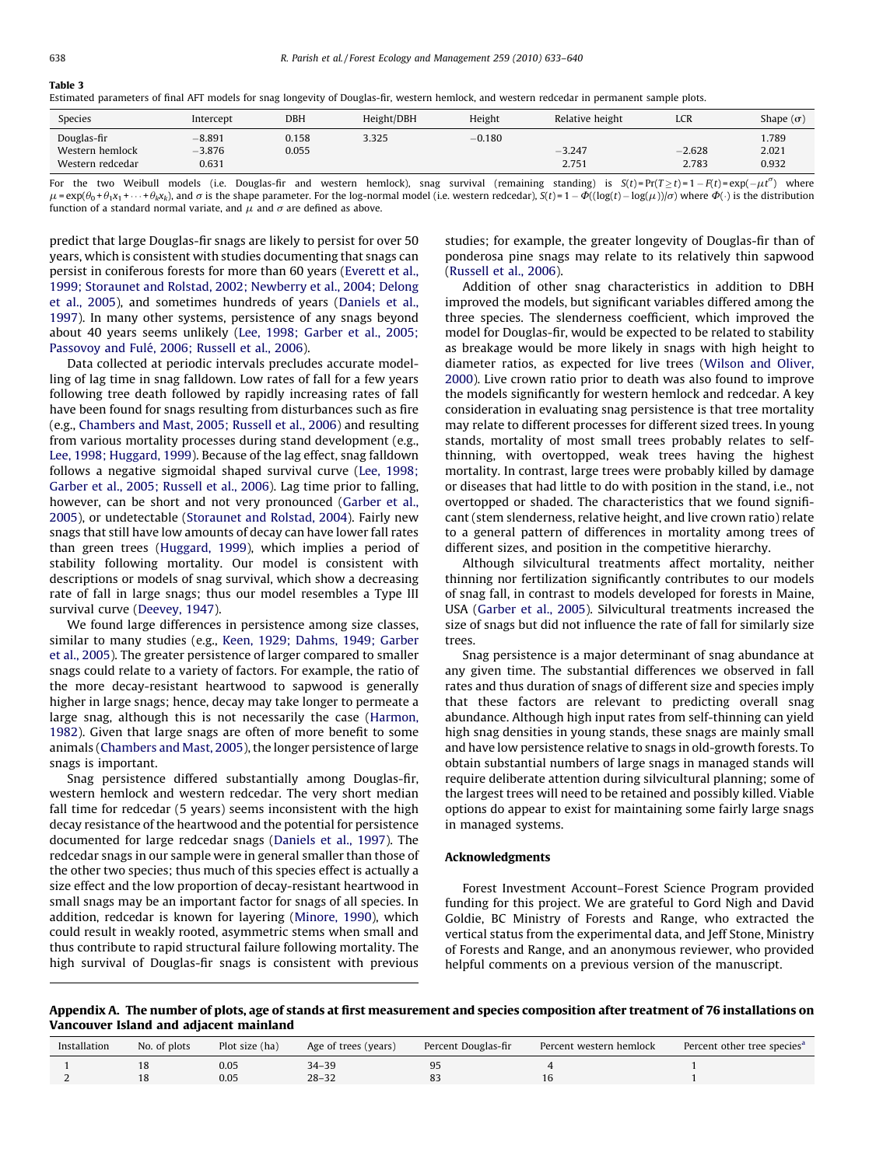## <span id="page-5-0"></span>Table 3

|  | Estimated parameters of final AFT models for snag longevity of Douglas-fir, western hemlock, and western redcedar in permanent sample plots. |  |  |
|--|----------------------------------------------------------------------------------------------------------------------------------------------|--|--|
|--|----------------------------------------------------------------------------------------------------------------------------------------------|--|--|

| Species                                            | Intercept                     | <b>DBH</b>     | Height/DBH | Height   | Relative height   | LCR               | Shape $(\sigma)$        |
|----------------------------------------------------|-------------------------------|----------------|------------|----------|-------------------|-------------------|-------------------------|
| Douglas-fir<br>Western hemlock<br>Western redcedar | $-8.891$<br>$-3.876$<br>0.631 | 0.158<br>0.055 | 3.325      | $-0.180$ | $-3.247$<br>2.751 | $-2.628$<br>2.783 | 1.789<br>2.021<br>0.932 |

For the two Weibull models (i.e. Douglas-fir and western hemlock), snag survival (remaining standing) is  $S(t) = Pr(T \ge t) = 1 - F(t) = \exp(-\mu t^{\sigma})$  where  $\mu = \exp(\theta_0 + \theta_1 x_1 + \dots + \theta_k x_k)$ , and  $\sigma$  is the shape parameter. For the log-normal model (i.e. western redcedar),  $S(t) = 1 - \Phi((\log(t) - \log(\mu))/\sigma)$  where  $\Phi(\cdot)$  is the distribution function of a standard normal variate, and  $\mu$  and  $\sigma$  are defined as above.

predict that large Douglas-fir snags are likely to persist for over 50 years, which is consistent with studies documenting that snags can persist in coniferous forests for more than 60 years ([Everett et al.,](#page-7-0) [1999; Storaunet and Rolstad, 2002; Newberry et al., 2004; Delong](#page-7-0) [et al., 2005\)](#page-7-0), and sometimes hundreds of years [\(Daniels et al.,](#page-7-0) [1997](#page-7-0)). In many other systems, persistence of any snags beyond about 40 years seems unlikely [\(Lee, 1998; Garber et al., 2005;](#page-7-0) Passovoy and Fulé, 2006; Russell et al., 2006).

Data collected at periodic intervals precludes accurate modelling of lag time in snag falldown. Low rates of fall for a few years following tree death followed by rapidly increasing rates of fall have been found for snags resulting from disturbances such as fire (e.g., [Chambers and Mast, 2005; Russell et al., 2006\)](#page-7-0) and resulting from various mortality processes during stand development (e.g., [Lee, 1998; Huggard, 1999](#page-7-0)). Because of the lag effect, snag falldown follows a negative sigmoidal shaped survival curve [\(Lee, 1998;](#page-7-0) [Garber et al., 2005; Russell et al., 2006](#page-7-0)). Lag time prior to falling, however, can be short and not very pronounced [\(Garber et al.,](#page-7-0) [2005\)](#page-7-0), or undetectable [\(Storaunet and Rolstad, 2004](#page-7-0)). Fairly new snags that still have low amounts of decay can have lower fall rates than green trees ([Huggard, 1999\)](#page-7-0), which implies a period of stability following mortality. Our model is consistent with descriptions or models of snag survival, which show a decreasing rate of fall in large snags; thus our model resembles a Type III survival curve ([Deevey, 1947\)](#page-7-0).

We found large differences in persistence among size classes, similar to many studies (e.g., [Keen, 1929; Dahms, 1949; Garber](#page-7-0) [et al., 2005](#page-7-0)). The greater persistence of larger compared to smaller snags could relate to a variety of factors. For example, the ratio of the more decay-resistant heartwood to sapwood is generally higher in large snags; hence, decay may take longer to permeate a large snag, although this is not necessarily the case ([Harmon,](#page-7-0) [1982](#page-7-0)). Given that large snags are often of more benefit to some animals [\(Chambers and Mast, 2005\)](#page-7-0), the longer persistence of large snags is important.

Snag persistence differed substantially among Douglas-fir, western hemlock and western redcedar. The very short median fall time for redcedar (5 years) seems inconsistent with the high decay resistance of the heartwood and the potential for persistence documented for large redcedar snags [\(Daniels et al., 1997](#page-7-0)). The redcedar snags in our sample were in general smaller than those of the other two species; thus much of this species effect is actually a size effect and the low proportion of decay-resistant heartwood in small snags may be an important factor for snags of all species. In addition, redcedar is known for layering [\(Minore, 1990\)](#page-7-0), which could result in weakly rooted, asymmetric stems when small and thus contribute to rapid structural failure following mortality. The high survival of Douglas-fir snags is consistent with previous studies; for example, the greater longevity of Douglas-fir than of ponderosa pine snags may relate to its relatively thin sapwood ([Russell et al., 2006](#page-7-0)).

Addition of other snag characteristics in addition to DBH improved the models, but significant variables differed among the three species. The slenderness coefficient, which improved the model for Douglas-fir, would be expected to be related to stability as breakage would be more likely in snags with high height to diameter ratios, as expected for live trees [\(Wilson and Oliver,](#page-7-0) [2000\)](#page-7-0). Live crown ratio prior to death was also found to improve the models significantly for western hemlock and redcedar. A key consideration in evaluating snag persistence is that tree mortality may relate to different processes for different sized trees. In young stands, mortality of most small trees probably relates to selfthinning, with overtopped, weak trees having the highest mortality. In contrast, large trees were probably killed by damage or diseases that had little to do with position in the stand, i.e., not overtopped or shaded. The characteristics that we found significant (stem slenderness, relative height, and live crown ratio) relate to a general pattern of differences in mortality among trees of different sizes, and position in the competitive hierarchy.

Although silvicultural treatments affect mortality, neither thinning nor fertilization significantly contributes to our models of snag fall, in contrast to models developed for forests in Maine, USA ([Garber et al., 2005](#page-7-0)). Silvicultural treatments increased the size of snags but did not influence the rate of fall for similarly size trees.

Snag persistence is a major determinant of snag abundance at any given time. The substantial differences we observed in fall rates and thus duration of snags of different size and species imply that these factors are relevant to predicting overall snag abundance. Although high input rates from self-thinning can yield high snag densities in young stands, these snags are mainly small and have low persistence relative to snags in old-growth forests. To obtain substantial numbers of large snags in managed stands will require deliberate attention during silvicultural planning; some of the largest trees will need to be retained and possibly killed. Viable options do appear to exist for maintaining some fairly large snags in managed systems.

#### Acknowledgments

Forest Investment Account–Forest Science Program provided funding for this project. We are grateful to Gord Nigh and David Goldie, BC Ministry of Forests and Range, who extracted the vertical status from the experimental data, and Jeff Stone, Ministry of Forests and Range, and an anonymous reviewer, who provided helpful comments on a previous version of the manuscript.

Appendix A. The number of plots, age of stands at first measurement and species composition after treatment of 76 installations on Vancouver Island and adjacent mainland

| Installation | No. of plots | Plot size (ha) | Age of trees (years) | Percent Douglas-fir | Percent western hemlock | Percent other tree species <sup>a</sup> |
|--------------|--------------|----------------|----------------------|---------------------|-------------------------|-----------------------------------------|
|              |              | 0.05           | $34 - 39$            | כפ                  |                         |                                         |
|              |              | 0.05           | $28 - 32$            | 83                  | 16                      |                                         |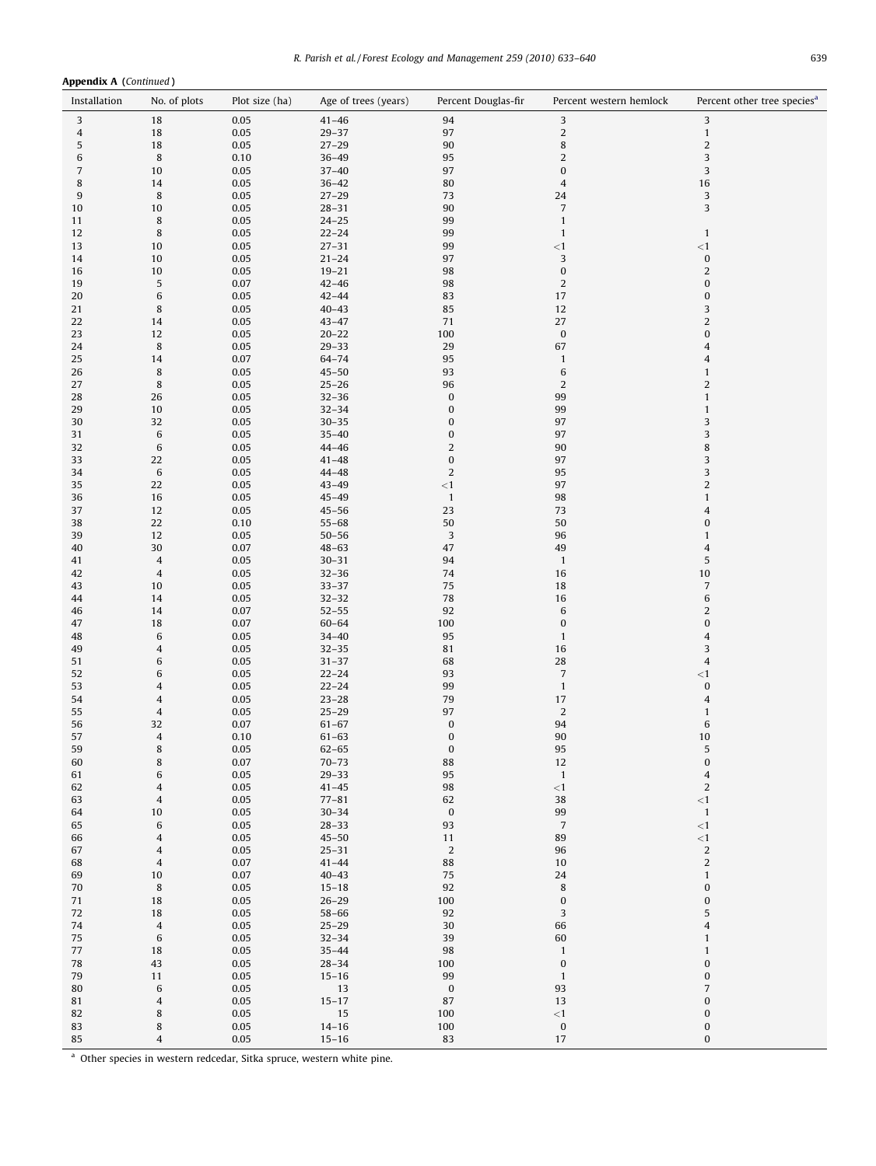<span id="page-6-0"></span>

| <b>Appendix A (Continued)</b> |                         |                |                        |                         |                                |                                           |
|-------------------------------|-------------------------|----------------|------------------------|-------------------------|--------------------------------|-------------------------------------------|
| Installation                  | No. of plots            | Plot size (ha) | Age of trees (years)   | Percent Douglas-fir     | Percent western hemlock        | Percent other tree species <sup>a</sup>   |
| 3                             | 18                      | 0.05           | $41 - 46$              | 94                      | 3                              | 3                                         |
| $\overline{4}$                | 18                      | 0.05           | $29 - 37$              | 97                      | $\sqrt{2}$                     | $\mathbf{1}$                              |
| $\sqrt{5}$                    | $18\,$                  | 0.05           | $27 - 29$              | 90                      | $\,$ 8 $\,$                    | $\overline{c}$                            |
| 6                             | 8                       | 0.10           | $36 - 49$              | 95                      | $\overline{c}$                 | 3                                         |
| $\sqrt{7}$<br>8               | 10<br>14                | 0.05<br>0.05   | $37 - 40$<br>$36 - 42$ | 97<br>80                | $\pmb{0}$<br>$\sqrt{4}$        | 3<br>16                                   |
| $9\,$                         | 8                       | 0.05           | $27 - 29$              | 73                      | 24                             | 3                                         |
| 10                            | 10                      | 0.05           | $28 - 31$              | 90                      | $\sqrt{7}$                     | 3                                         |
| 11                            | 8                       | 0.05           | $24 - 25$              | 99                      | $\mathbf{1}$                   |                                           |
| 12                            | 8                       | 0.05           | $22 - 24$              | 99                      | $\mathbf{1}$                   | $\mathbf{1}$                              |
| 13                            | 10                      | 0.05           | $27 - 31$              | 99                      | $<$ 1                          | $<$ 1                                     |
| 14                            | 10                      | 0.05           | $21 - 24$              | 97                      | $\sqrt{3}$                     | $\boldsymbol{0}$                          |
| 16<br>19                      | 10<br>$\sqrt{5}$        | 0.05<br>0.07   | $19 - 21$<br>$42 - 46$ | 98<br>98                | $\boldsymbol{0}$<br>$\sqrt{2}$ | $\overline{c}$<br>$\boldsymbol{0}$        |
| 20                            | 6                       | 0.05           | $42 - 44$              | 83                      | 17                             | $\boldsymbol{0}$                          |
| 21                            | 8                       | 0.05           | $40 - 43$              | 85                      | 12                             | 3                                         |
| 22                            | 14                      | 0.05           | $43 - 47$              | 71                      | 27                             | $\overline{c}$                            |
| 23                            | 12                      | 0.05           | $20 - 22$              | 100                     | $\pmb{0}$                      | $\boldsymbol{0}$                          |
| 24                            | 8                       | 0.05           | $29 - 33$              | 29                      | 67                             | $\overline{4}$                            |
| 25                            | 14                      | 0.07           | 64-74                  | 95                      | $\mathbf{1}$                   | 4                                         |
| 26<br>27                      | 8<br>8                  | 0.05<br>0.05   | $45 - 50$<br>$25 - 26$ | 93<br>96                | $\,6\,$<br>$\sqrt{2}$          | $\mathbf{1}$<br>2                         |
| 28                            | 26                      | 0.05           | $32 - 36$              | $\boldsymbol{0}$        | 99                             | $\mathbf{1}$                              |
| 29                            | $10\,$                  | 0.05           | $32 - 34$              | $\boldsymbol{0}$        | 99                             | $\mathbf{1}$                              |
| 30                            | 32                      | 0.05           | $30 - 35$              | $\bf{0}$                | 97                             | 3                                         |
| 31                            | $\,6\,$                 | 0.05           | $35 - 40$              | $\bf{0}$                | 97                             | 3                                         |
| 32                            | $\,6\,$                 | 0.05           | $44 - 46$              | $\sqrt{2}$              | 90                             | 8                                         |
| 33                            | 22                      | 0.05           | $41 - 48$              | $\boldsymbol{0}$        | 97                             | 3                                         |
| 34<br>35                      | 6<br>22                 | 0.05<br>0.05   | $44 - 48$<br>$43 - 49$ | $\overline{2}$<br>$<$ 1 | 95<br>97                       | 3<br>$\overline{c}$                       |
| 36                            | 16                      | 0.05           | $45 - 49$              | $\mathbf{1}$            | 98                             | $\mathbf{1}$                              |
| 37                            | 12                      | 0.05           | $45 - 56$              | 23                      | 73                             | 4                                         |
| 38                            | 22                      | 0.10           | $55 - 68$              | 50                      | 50                             | 0                                         |
| 39                            | 12                      | 0.05           | $50 - 56$              | $\mathsf 3$             | 96                             | $\mathbf{1}$                              |
| 40                            | 30                      | 0.07           | $48 - 63$              | 47                      | 49                             | $\overline{4}$                            |
| 41                            | $\sqrt{4}$              | 0.05           | $30 - 31$              | 94                      | $\mathbf{1}$                   | 5                                         |
| 42<br>43                      | 4<br>10                 | 0.05<br>0.05   | $32 - 36$<br>$33 - 37$ | 74<br>75                | 16<br>18                       | 10<br>$\overline{7}$                      |
| 44                            | 14                      | 0.05           | $32 - 32$              | 78                      | 16                             | 6                                         |
| 46                            | 14                      | 0.07           | $52 - 55$              | 92                      | $\,6\,$                        | $\overline{c}$                            |
| 47                            | 18                      | 0.07           | $60 - 64$              | 100                     | $\boldsymbol{0}$               | $\boldsymbol{0}$                          |
| 48                            | 6                       | 0.05           | $34 - 40$              | 95                      | $\mathbf{1}$                   | 4                                         |
| 49                            | $\sqrt{4}$              | 0.05           | $32 - 35$              | 81                      | 16                             | 3                                         |
| 51                            | $\,6\,$                 | 0.05           | $31 - 37$              | 68                      | 28                             | $\overline{4}$                            |
| 52<br>53                      | $\,6\,$<br>$\sqrt{4}$   | 0.05           | $22 - 24$<br>$22 - 24$ | 93<br>99                | $\overline{7}$<br>$\mathbf{1}$ | $<$ 1<br>$\boldsymbol{0}$                 |
| 54                            | $\sqrt{4}$              | 0.05<br>0.05   | $23 - 28$              | 79                      | 17                             | 4                                         |
| 55                            | 4                       | 0.05           | $25 - 29$              | 97                      | $\sqrt{2}$                     | $\mathbf{1}$                              |
| 56                            | 32                      | 0.07           | $61 - 67$              | $\boldsymbol{0}$        | 94                             | 6                                         |
| 57                            | 4                       | 0.10           | $61 - 63$              | $\pmb{0}$               | 90                             | $10\,$                                    |
| 59                            | 8                       | 0.05           | $62 - 65$              | $\boldsymbol{0}$        | 95                             | $\mathbf 5$                               |
| 60                            | 8                       | 0.07           | $70 - 73$              | 88                      | 12                             | $\boldsymbol{0}$                          |
| 61<br>62                      | 6<br>$\sqrt{4}$         | 0.05<br>0.05   | $29 - 33$<br>$41 - 45$ | 95<br>98                | $\mathbf{1}$                   | $\overline{\mathbf{4}}$<br>$\overline{c}$ |
| 63                            | 4                       | 0.05           | $77 - 81$              | 62                      | $<$ 1<br>38                    | $<$ 1                                     |
| 64                            | 10                      | 0.05           | $30 - 34$              | $\boldsymbol{0}$        | 99                             | $\mathbf{1}$                              |
| 65                            | 6                       | 0.05           | $28 - 33$              | 93                      | $\overline{7}$                 | $<$ 1                                     |
| 66                            | 4                       | 0.05           | $45 - 50$              | 11                      | 89                             | $<$ 1                                     |
| 67                            | 4                       | 0.05           | $25 - 31$              | $\sqrt{2}$              | 96                             | $\sqrt{2}$                                |
| 68                            | $\sqrt{4}$              | 0.07           | $41 - 44$              | 88                      | 10                             | $\boldsymbol{2}$                          |
| 69<br>70                      | 10<br>8                 | 0.07<br>0.05   | $40 - 43$<br>$15 - 18$ | 75<br>92                | 24<br>$\,$ 8 $\,$              | $\mathbf{1}$<br>$\boldsymbol{0}$          |
| 71                            | 18                      | 0.05           | $26 - 29$              | 100                     | $\pmb{0}$                      | $\boldsymbol{0}$                          |
| 72                            | 18                      | 0.05           | 58-66                  | 92                      | 3                              | 5                                         |
| 74                            | $\overline{\mathbf{4}}$ | 0.05           | $25 - 29$              | 30                      | 66                             | 4                                         |
| 75                            | 6                       | 0.05           | $32 - 34$              | 39                      | 60                             | $\mathbf{1}$                              |
| 77                            | 18                      | 0.05           | $35 - 44$              | 98                      | $\mathbf{1}$                   | $\mathbf{1}$                              |
| 78                            | 43                      | 0.05           | $28 - 34$              | 100                     | $\pmb{0}$                      | $\boldsymbol{0}$                          |
| 79<br>80                      | 11                      | 0.05<br>0.05   | $15 - 16$<br>$13\,$    | 99<br>$\boldsymbol{0}$  | $\mathbf{1}$<br>93             | $\boldsymbol{0}$<br>$\sqrt{ }$            |
| 81                            | 6<br>$\sqrt{4}$         | 0.05           | $15 - 17$              | 87                      | 13                             | $\boldsymbol{0}$                          |
| 82                            | 8                       | 0.05           | 15                     | 100                     | $<$ 1                          | $\boldsymbol{0}$                          |
| 83                            | 8                       | 0.05           | $14 - 16$              | 100                     | $\pmb{0}$                      | $\boldsymbol{0}$                          |
| 85                            | 4                       | 0.05           | $15 - 16$              | 83                      | 17                             | $\boldsymbol{0}$                          |

 $a$  Other species in western redcedar, Sitka spruce, western white pine.